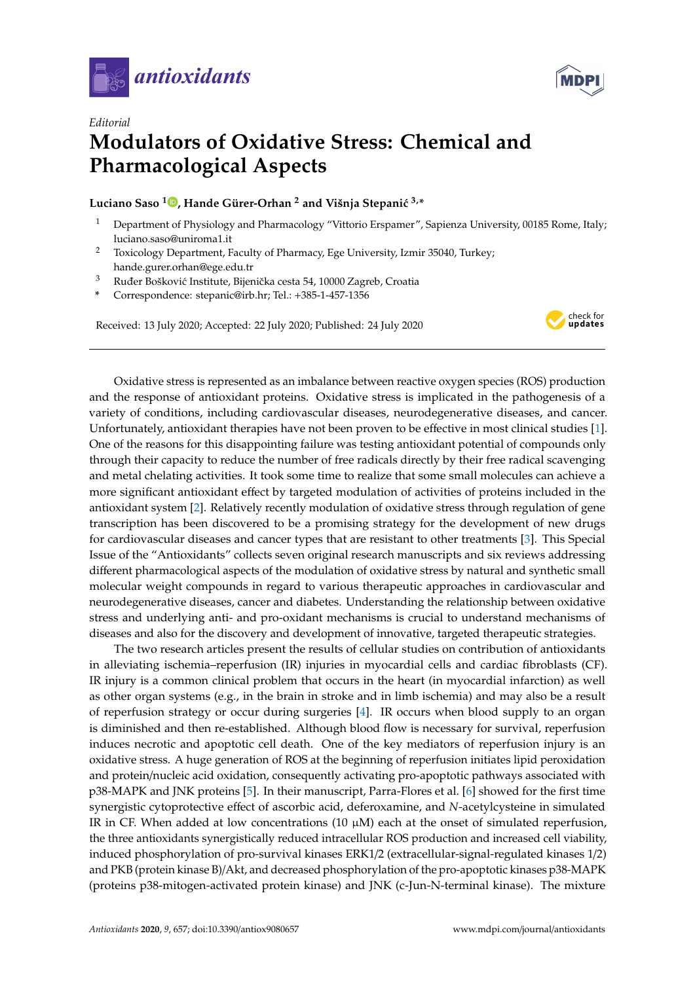



## *Editorial* **Modulators of Oxidative Stress: Chemical and Pharmacological Aspects**

## $\bf{L}$ uciano Saso  $^{\bf{1} \bullet}$  $^{\bf{1} \bullet}$  $^{\bf{1} \bullet}$ , Hande Gürer-Orhan <sup>2</sup> and Višnja Stepanić  $^{\bf{3, *}}$

- <sup>1</sup> Department of Physiology and Pharmacology "Vittorio Erspamer", Sapienza University, 00185 Rome, Italy; luciano.saso@uniroma1.it
- <sup>2</sup> Toxicology Department, Faculty of Pharmacy, Ege University, Izmir 35040, Turkey; hande.gurer.orhan@ege.edu.tr
- Ruđer Bošković Institute, Bijenička cesta 54, 10000 Zagreb, Croatia
- **\*** Correspondence: stepanic@irb.hr; Tel.: +385-1-457-1356

Received: 13 July 2020; Accepted: 22 July 2020; Published: 24 July 2020



Oxidative stress is represented as an imbalance between reactive oxygen species (ROS) production and the response of antioxidant proteins. Oxidative stress is implicated in the pathogenesis of a variety of conditions, including cardiovascular diseases, neurodegenerative diseases, and cancer. Unfortunately, antioxidant therapies have not been proven to be effective in most clinical studies [\[1\]](#page-3-0). One of the reasons for this disappointing failure was testing antioxidant potential of compounds only through their capacity to reduce the number of free radicals directly by their free radical scavenging and metal chelating activities. It took some time to realize that some small molecules can achieve a more significant antioxidant effect by targeted modulation of activities of proteins included in the antioxidant system [\[2\]](#page-3-1). Relatively recently modulation of oxidative stress through regulation of gene transcription has been discovered to be a promising strategy for the development of new drugs for cardiovascular diseases and cancer types that are resistant to other treatments [\[3\]](#page-3-2). This Special Issue of the "Antioxidants" collects seven original research manuscripts and six reviews addressing different pharmacological aspects of the modulation of oxidative stress by natural and synthetic small molecular weight compounds in regard to various therapeutic approaches in cardiovascular and neurodegenerative diseases, cancer and diabetes. Understanding the relationship between oxidative stress and underlying anti- and pro-oxidant mechanisms is crucial to understand mechanisms of diseases and also for the discovery and development of innovative, targeted therapeutic strategies.

The two research articles present the results of cellular studies on contribution of antioxidants in alleviating ischemia–reperfusion (IR) injuries in myocardial cells and cardiac fibroblasts (CF). IR injury is a common clinical problem that occurs in the heart (in myocardial infarction) as well as other organ systems (e.g., in the brain in stroke and in limb ischemia) and may also be a result of reperfusion strategy or occur during surgeries [\[4\]](#page-3-3). IR occurs when blood supply to an organ is diminished and then re-established. Although blood flow is necessary for survival, reperfusion induces necrotic and apoptotic cell death. One of the key mediators of reperfusion injury is an oxidative stress. A huge generation of ROS at the beginning of reperfusion initiates lipid peroxidation and protein/nucleic acid oxidation, consequently activating pro-apoptotic pathways associated with p38-MAPK and JNK proteins [\[5\]](#page-3-4). In their manuscript, Parra-Flores et al. [\[6\]](#page-3-5) showed for the first time synergistic cytoprotective effect of ascorbic acid, deferoxamine, and *N*-acetylcysteine in simulated IR in CF. When added at low concentrations  $(10 \mu M)$  each at the onset of simulated reperfusion, the three antioxidants synergistically reduced intracellular ROS production and increased cell viability, induced phosphorylation of pro-survival kinases ERK1/2 (extracellular-signal-regulated kinases 1/2) and PKB (protein kinase B)/Akt, and decreased phosphorylation of the pro-apoptotic kinases p38-MAPK (proteins p38-mitogen-activated protein kinase) and JNK (c-Jun-N-terminal kinase). The mixture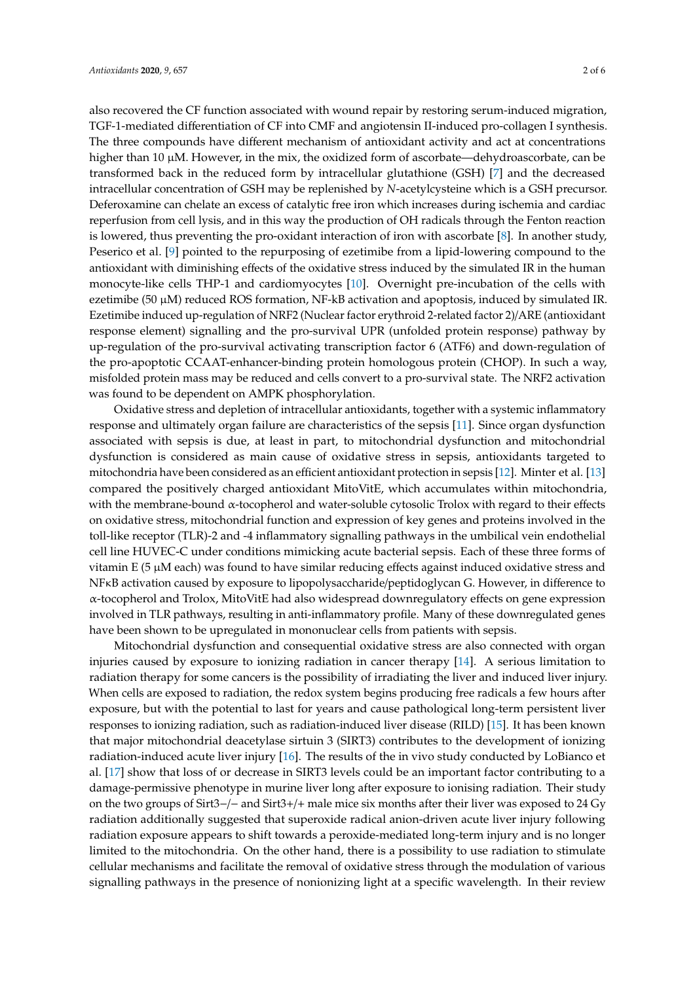also recovered the CF function associated with wound repair by restoring serum-induced migration, TGF-1-mediated differentiation of CF into CMF and angiotensin II-induced pro-collagen I synthesis. The three compounds have different mechanism of antioxidant activity and act at concentrations higher than 10 µM. However, in the mix, the oxidized form of ascorbate—dehydroascorbate, can be transformed back in the reduced form by intracellular glutathione (GSH) [\[7\]](#page-4-0) and the decreased intracellular concentration of GSH may be replenished by *N*-acetylcysteine which is a GSH precursor. Deferoxamine can chelate an excess of catalytic free iron which increases during ischemia and cardiac reperfusion from cell lysis, and in this way the production of OH radicals through the Fenton reaction is lowered, thus preventing the pro-oxidant interaction of iron with ascorbate [\[8\]](#page-4-1). In another study, Peserico et al. [\[9\]](#page-4-2) pointed to the repurposing of ezetimibe from a lipid-lowering compound to the antioxidant with diminishing effects of the oxidative stress induced by the simulated IR in the human monocyte-like cells THP-1 and cardiomyocytes [\[10\]](#page-4-3). Overnight pre-incubation of the cells with ezetimibe (50  $\mu$ M) reduced ROS formation, NF-kB activation and apoptosis, induced by simulated IR. Ezetimibe induced up-regulation of NRF2 (Nuclear factor erythroid 2-related factor 2)/ARE (antioxidant response element) signalling and the pro-survival UPR (unfolded protein response) pathway by up-regulation of the pro-survival activating transcription factor 6 (ATF6) and down-regulation of the pro-apoptotic CCAAT-enhancer-binding protein homologous protein (CHOP). In such a way, misfolded protein mass may be reduced and cells convert to a pro-survival state. The NRF2 activation was found to be dependent on AMPK phosphorylation.

Oxidative stress and depletion of intracellular antioxidants, together with a systemic inflammatory response and ultimately organ failure are characteristics of the sepsis [\[11\]](#page-4-4). Since organ dysfunction associated with sepsis is due, at least in part, to mitochondrial dysfunction and mitochondrial dysfunction is considered as main cause of oxidative stress in sepsis, antioxidants targeted to mitochondria have been considered as an efficient antioxidant protection in sepsis [\[12\]](#page-4-5). Minter et al. [\[13\]](#page-4-6) compared the positively charged antioxidant MitoVitE, which accumulates within mitochondria, with the membrane-bound α-tocopherol and water-soluble cytosolic Trolox with regard to their effects on oxidative stress, mitochondrial function and expression of key genes and proteins involved in the toll-like receptor (TLR)-2 and -4 inflammatory signalling pathways in the umbilical vein endothelial cell line HUVEC-C under conditions mimicking acute bacterial sepsis. Each of these three forms of vitamin E (5 µM each) was found to have similar reducing effects against induced oxidative stress and NFκB activation caused by exposure to lipopolysaccharide/peptidoglycan G. However, in difference to α-tocopherol and Trolox, MitoVitE had also widespread downregulatory effects on gene expression involved in TLR pathways, resulting in anti-inflammatory profile. Many of these downregulated genes have been shown to be upregulated in mononuclear cells from patients with sepsis.

Mitochondrial dysfunction and consequential oxidative stress are also connected with organ injuries caused by exposure to ionizing radiation in cancer therapy [\[14\]](#page-4-7). A serious limitation to radiation therapy for some cancers is the possibility of irradiating the liver and induced liver injury. When cells are exposed to radiation, the redox system begins producing free radicals a few hours after exposure, but with the potential to last for years and cause pathological long-term persistent liver responses to ionizing radiation, such as radiation-induced liver disease (RILD) [\[15\]](#page-4-8). It has been known that major mitochondrial deacetylase sirtuin 3 (SIRT3) contributes to the development of ionizing radiation-induced acute liver injury [\[16\]](#page-4-9). The results of the in vivo study conducted by LoBianco et al. [\[17\]](#page-4-10) show that loss of or decrease in SIRT3 levels could be an important factor contributing to a damage-permissive phenotype in murine liver long after exposure to ionising radiation. Their study on the two groups of Sirt3−/− and Sirt3+/+ male mice six months after their liver was exposed to 24 Gy radiation additionally suggested that superoxide radical anion-driven acute liver injury following radiation exposure appears to shift towards a peroxide-mediated long-term injury and is no longer limited to the mitochondria. On the other hand, there is a possibility to use radiation to stimulate cellular mechanisms and facilitate the removal of oxidative stress through the modulation of various signalling pathways in the presence of nonionizing light at a specific wavelength. In their review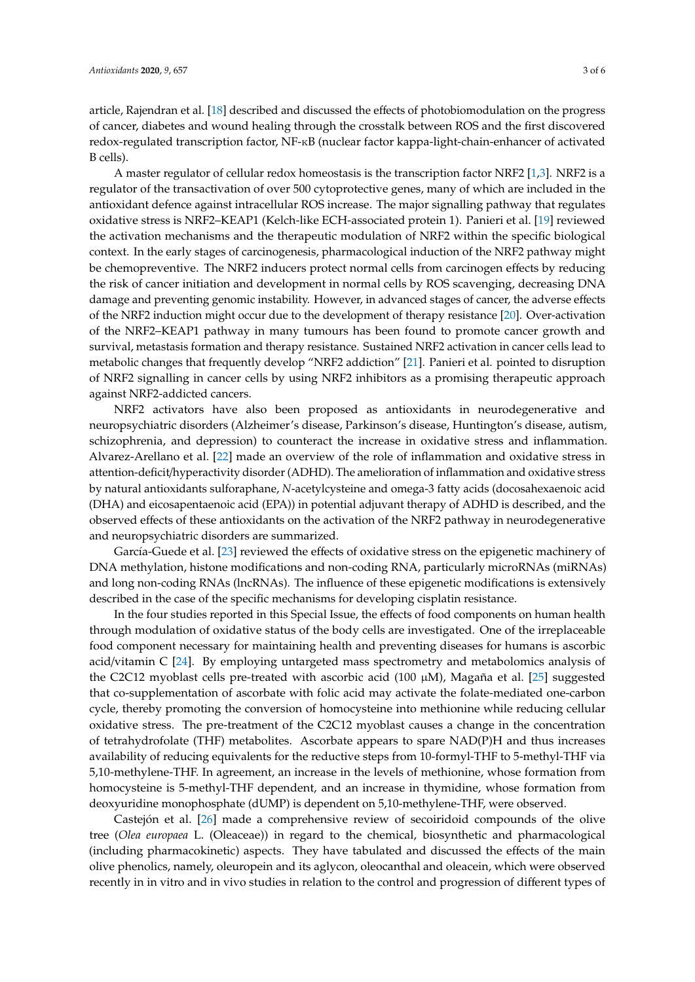article, Rajendran et al. [\[18\]](#page-4-11) described and discussed the effects of photobiomodulation on the progress of cancer, diabetes and wound healing through the crosstalk between ROS and the first discovered redox-regulated transcription factor, NF-кB (nuclear factor kappa-light-chain-enhancer of activated B cells).

A master regulator of cellular redox homeostasis is the transcription factor NRF2 [\[1](#page-3-0)[,3\]](#page-3-2). NRF2 is a regulator of the transactivation of over 500 cytoprotective genes, many of which are included in the antioxidant defence against intracellular ROS increase. The major signalling pathway that regulates oxidative stress is NRF2–KEAP1 (Kelch-like ECH-associated protein 1). Panieri et al. [\[19\]](#page-4-12) reviewed the activation mechanisms and the therapeutic modulation of NRF2 within the specific biological context. In the early stages of carcinogenesis, pharmacological induction of the NRF2 pathway might be chemopreventive. The NRF2 inducers protect normal cells from carcinogen effects by reducing the risk of cancer initiation and development in normal cells by ROS scavenging, decreasing DNA damage and preventing genomic instability. However, in advanced stages of cancer, the adverse effects of the NRF2 induction might occur due to the development of therapy resistance [\[20\]](#page-4-13). Over-activation of the NRF2–KEAP1 pathway in many tumours has been found to promote cancer growth and survival, metastasis formation and therapy resistance. Sustained NRF2 activation in cancer cells lead to metabolic changes that frequently develop "NRF2 addiction" [\[21\]](#page-4-14). Panieri et al. pointed to disruption of NRF2 signalling in cancer cells by using NRF2 inhibitors as a promising therapeutic approach against NRF2-addicted cancers.

NRF2 activators have also been proposed as antioxidants in neurodegenerative and neuropsychiatric disorders (Alzheimer's disease, Parkinson's disease, Huntington's disease, autism, schizophrenia, and depression) to counteract the increase in oxidative stress and inflammation. Alvarez-Arellano et al. [\[22\]](#page-4-15) made an overview of the role of inflammation and oxidative stress in attention-deficit/hyperactivity disorder (ADHD). The amelioration of inflammation and oxidative stress by natural antioxidants sulforaphane, *N*-acetylcysteine and omega-3 fatty acids (docosahexaenoic acid (DHA) and eicosapentaenoic acid (EPA)) in potential adjuvant therapy of ADHD is described, and the observed effects of these antioxidants on the activation of the NRF2 pathway in neurodegenerative and neuropsychiatric disorders are summarized.

García-Guede et al. [\[23\]](#page-4-16) reviewed the effects of oxidative stress on the epigenetic machinery of DNA methylation, histone modifications and non-coding RNA, particularly microRNAs (miRNAs) and long non-coding RNAs (lncRNAs). The influence of these epigenetic modifications is extensively described in the case of the specific mechanisms for developing cisplatin resistance.

In the four studies reported in this Special Issue, the effects of food components on human health through modulation of oxidative status of the body cells are investigated. One of the irreplaceable food component necessary for maintaining health and preventing diseases for humans is ascorbic acid/vitamin C [\[24\]](#page-4-17). By employing untargeted mass spectrometry and metabolomics analysis of the C2C12 myoblast cells pre-treated with ascorbic acid (100  $\mu$ M), Magaña et al. [\[25\]](#page-4-18) suggested that co-supplementation of ascorbate with folic acid may activate the folate-mediated one-carbon cycle, thereby promoting the conversion of homocysteine into methionine while reducing cellular oxidative stress. The pre-treatment of the C2C12 myoblast causes a change in the concentration of tetrahydrofolate (THF) metabolites. Ascorbate appears to spare NAD(P)H and thus increases availability of reducing equivalents for the reductive steps from 10-formyl-THF to 5-methyl-THF via 5,10-methylene-THF. In agreement, an increase in the levels of methionine, whose formation from homocysteine is 5-methyl-THF dependent, and an increase in thymidine, whose formation from deoxyuridine monophosphate (dUMP) is dependent on 5,10-methylene-THF, were observed.

Castejón et al. [\[26\]](#page-4-19) made a comprehensive review of secoiridoid compounds of the olive tree (*Olea europaea* L. (Oleaceae)) in regard to the chemical, biosynthetic and pharmacological (including pharmacokinetic) aspects. They have tabulated and discussed the effects of the main olive phenolics, namely, oleuropein and its aglycon, oleocanthal and oleacein, which were observed recently in in vitro and in vivo studies in relation to the control and progression of different types of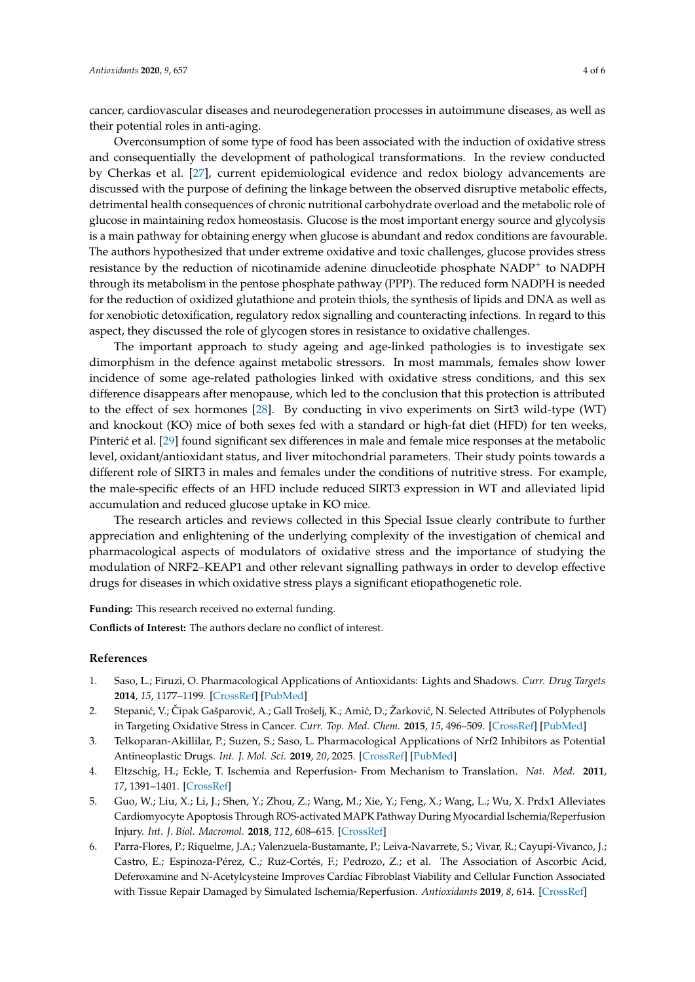cancer, cardiovascular diseases and neurodegeneration processes in autoimmune diseases, as well as their potential roles in anti-aging.

Overconsumption of some type of food has been associated with the induction of oxidative stress and consequentially the development of pathological transformations. In the review conducted by Cherkas et al. [\[27\]](#page-4-20), current epidemiological evidence and redox biology advancements are discussed with the purpose of defining the linkage between the observed disruptive metabolic effects, detrimental health consequences of chronic nutritional carbohydrate overload and the metabolic role of glucose in maintaining redox homeostasis. Glucose is the most important energy source and glycolysis is a main pathway for obtaining energy when glucose is abundant and redox conditions are favourable. The authors hypothesized that under extreme oxidative and toxic challenges, glucose provides stress resistance by the reduction of nicotinamide adenine dinucleotide phosphate NADP<sup>+</sup> to NADPH through its metabolism in the pentose phosphate pathway (PPP). The reduced form NADPH is needed for the reduction of oxidized glutathione and protein thiols, the synthesis of lipids and DNA as well as for xenobiotic detoxification, regulatory redox signalling and counteracting infections. In regard to this aspect, they discussed the role of glycogen stores in resistance to oxidative challenges.

The important approach to study ageing and age-linked pathologies is to investigate sex dimorphism in the defence against metabolic stressors. In most mammals, females show lower incidence of some age-related pathologies linked with oxidative stress conditions, and this sex difference disappears after menopause, which led to the conclusion that this protection is attributed to the effect of sex hormones [\[28\]](#page-5-0). By conducting in vivo experiments on Sirt3 wild-type (WT) and knockout (KO) mice of both sexes fed with a standard or high-fat diet (HFD) for ten weeks, Pinterić et al. [\[29\]](#page-5-1) found significant sex differences in male and female mice responses at the metabolic level, oxidant/antioxidant status, and liver mitochondrial parameters. Their study points towards a different role of SIRT3 in males and females under the conditions of nutritive stress. For example, the male-specific effects of an HFD include reduced SIRT3 expression in WT and alleviated lipid accumulation and reduced glucose uptake in KO mice.

The research articles and reviews collected in this Special Issue clearly contribute to further appreciation and enlightening of the underlying complexity of the investigation of chemical and pharmacological aspects of modulators of oxidative stress and the importance of studying the modulation of NRF2–KEAP1 and other relevant signalling pathways in order to develop effective drugs for diseases in which oxidative stress plays a significant etiopathogenetic role.

**Funding:** This research received no external funding.

**Conflicts of Interest:** The authors declare no conflict of interest.

## **References**

- <span id="page-3-0"></span>1. Saso, L.; Firuzi, O. Pharmacological Applications of Antioxidants: Lights and Shadows. *Curr. Drug Targets* **2014**, *15*, 1177–1199. [\[CrossRef\]](http://dx.doi.org/10.2174/1389450115666141024113925) [\[PubMed\]](http://www.ncbi.nlm.nih.gov/pubmed/25341421)
- <span id="page-3-1"></span>2. Stepanić, V.; Čipak Gašparović, A.; Gall Trošelj, K.; Amić, D.; Žarković, N. Selected Attributes of Polyphenols in Targeting Oxidative Stress in Cancer. *Curr. Top. Med. Chem.* **2015**, *15*, 496–509. [\[CrossRef\]](http://dx.doi.org/10.2174/1568026615666150209123100) [\[PubMed\]](http://www.ncbi.nlm.nih.gov/pubmed/25665579)
- <span id="page-3-2"></span>3. Telkoparan-Akillilar, P.; Suzen, S.; Saso, L. Pharmacological Applications of Nrf2 Inhibitors as Potential Antineoplastic Drugs. *Int. J. Mol. Sci.* **2019**, *20*, 2025. [\[CrossRef\]](http://dx.doi.org/10.3390/ijms20082025) [\[PubMed\]](http://www.ncbi.nlm.nih.gov/pubmed/31022969)
- <span id="page-3-3"></span>4. Eltzschig, H.; Eckle, T. Ischemia and Reperfusion- From Mechanism to Translation. *Nat. Med.* **2011**, *17*, 1391–1401. [\[CrossRef\]](http://dx.doi.org/10.1038/nm.2507)
- <span id="page-3-4"></span>5. Guo, W.; Liu, X.; Li, J.; Shen, Y.; Zhou, Z.; Wang, M.; Xie, Y.; Feng, X.; Wang, L.; Wu, X. Prdx1 Alleviates Cardiomyocyte Apoptosis Through ROS-activated MAPK Pathway During Myocardial Ischemia/Reperfusion Injury. *Int. J. Biol. Macromol.* **2018**, *112*, 608–615. [\[CrossRef\]](http://dx.doi.org/10.1016/j.ijbiomac.2018.02.009)
- <span id="page-3-5"></span>6. Parra-Flores, P.; Riquelme, J.A.; Valenzuela-Bustamante, P.; Leiva-Navarrete, S.; Vivar, R.; Cayupi-Vivanco, J.; Castro, E.; Espinoza-Pérez, C.; Ruz-Cortés, F.; Pedrozo, Z.; et al. The Association of Ascorbic Acid, Deferoxamine and N-Acetylcysteine Improves Cardiac Fibroblast Viability and Cellular Function Associated with Tissue Repair Damaged by Simulated Ischemia/Reperfusion. *Antioxidants* **2019**, *8*, 614. [\[CrossRef\]](http://dx.doi.org/10.3390/antiox8120614)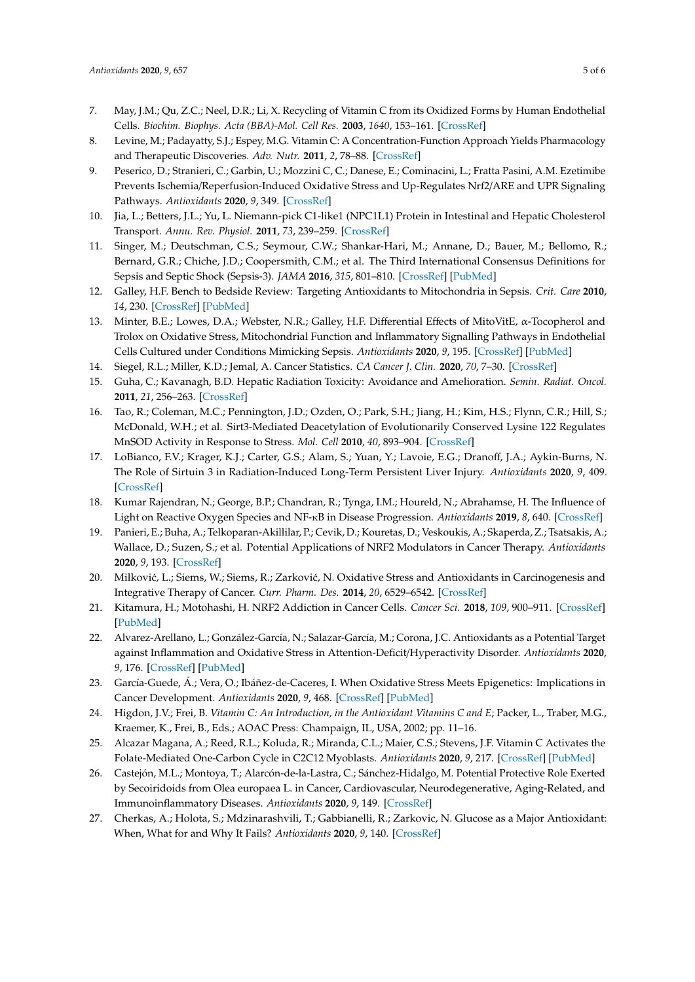- <span id="page-4-0"></span>7. May, J.M.; Qu, Z.C.; Neel, D.R.; Li, X. Recycling of Vitamin C from its Oxidized Forms by Human Endothelial Cells. *Biochim. Biophys. Acta (BBA)-Mol. Cell Res.* **2003**, *1640*, 153–161. [\[CrossRef\]](http://dx.doi.org/10.1016/S0167-4889(03)00043-0)
- <span id="page-4-1"></span>8. Levine, M.; Padayatty, S.J.; Espey, M.G. Vitamin C: A Concentration-Function Approach Yields Pharmacology and Therapeutic Discoveries. *Adv. Nutr.* **2011**, *2*, 78–88. [\[CrossRef\]](http://dx.doi.org/10.3945/an.110.000109)
- <span id="page-4-2"></span>9. Peserico, D.; Stranieri, C.; Garbin, U.; Mozzini C, C.; Danese, E.; Cominacini, L.; Fratta Pasini, A.M. Ezetimibe Prevents Ischemia/Reperfusion-Induced Oxidative Stress and Up-Regulates Nrf2/ARE and UPR Signaling Pathways. *Antioxidants* **2020**, *9*, 349. [\[CrossRef\]](http://dx.doi.org/10.3390/antiox9040349)
- <span id="page-4-3"></span>10. Jia, L.; Betters, J.L.; Yu, L. Niemann-pick C1-like1 (NPC1L1) Protein in Intestinal and Hepatic Cholesterol Transport. *Annu. Rev. Physiol.* **2011**, *73*, 239–259. [\[CrossRef\]](http://dx.doi.org/10.1146/annurev-physiol-012110-142233)
- <span id="page-4-4"></span>11. Singer, M.; Deutschman, C.S.; Seymour, C.W.; Shankar-Hari, M.; Annane, D.; Bauer, M.; Bellomo, R.; Bernard, G.R.; Chiche, J.D.; Coopersmith, C.M.; et al. The Third International Consensus Definitions for Sepsis and Septic Shock (Sepsis-3). *JAMA* **2016**, *315*, 801–810. [\[CrossRef\]](http://dx.doi.org/10.1001/jama.2016.0287) [\[PubMed\]](http://www.ncbi.nlm.nih.gov/pubmed/26903338)
- <span id="page-4-5"></span>12. Galley, H.F. Bench to Bedside Review: Targeting Antioxidants to Mitochondria in Sepsis. *Crit. Care* **2010**, *14*, 230. [\[CrossRef\]](http://dx.doi.org/10.1186/cc9098) [\[PubMed\]](http://www.ncbi.nlm.nih.gov/pubmed/20804578)
- <span id="page-4-6"></span>13. Minter, B.E.; Lowes, D.A.; Webster, N.R.; Galley, H.F. Differential Effects of MitoVitE, α-Tocopherol and Trolox on Oxidative Stress, Mitochondrial Function and Inflammatory Signalling Pathways in Endothelial Cells Cultured under Conditions Mimicking Sepsis. *Antioxidants* **2020**, *9*, 195. [\[CrossRef\]](http://dx.doi.org/10.3390/antiox9030195) [\[PubMed\]](http://www.ncbi.nlm.nih.gov/pubmed/32110961)
- <span id="page-4-8"></span><span id="page-4-7"></span>14. Siegel, R.L.; Miller, K.D.; Jemal, A. Cancer Statistics. *CA Cancer J. Clin.* **2020**, *70*, 7–30. [\[CrossRef\]](http://dx.doi.org/10.3322/caac.21590)
- 15. Guha, C.; Kavanagh, B.D. Hepatic Radiation Toxicity: Avoidance and Amelioration. *Semin. Radiat. Oncol.* **2011**, *21*, 256–263. [\[CrossRef\]](http://dx.doi.org/10.1016/j.semradonc.2011.05.003)
- <span id="page-4-9"></span>16. Tao, R.; Coleman, M.C.; Pennington, J.D.; Ozden, O.; Park, S.H.; Jiang, H.; Kim, H.S.; Flynn, C.R.; Hill, S.; McDonald, W.H.; et al. Sirt3-Mediated Deacetylation of Evolutionarily Conserved Lysine 122 Regulates MnSOD Activity in Response to Stress. *Mol. Cell* **2010**, *40*, 893–904. [\[CrossRef\]](http://dx.doi.org/10.1016/j.molcel.2010.12.013)
- <span id="page-4-10"></span>17. LoBianco, F.V.; Krager, K.J.; Carter, G.S.; Alam, S.; Yuan, Y.; Lavoie, E.G.; Dranoff, J.A.; Aykin-Burns, N. The Role of Sirtuin 3 in Radiation-Induced Long-Term Persistent Liver Injury. *Antioxidants* **2020**, *9*, 409. [\[CrossRef\]](http://dx.doi.org/10.3390/antiox9050409)
- <span id="page-4-11"></span>18. Kumar Rajendran, N.; George, B.P.; Chandran, R.; Tynga, I.M.; Houreld, N.; Abrahamse, H. The Influence of Light on Reactive Oxygen Species and NF-кB in Disease Progression. *Antioxidants* **2019**, *8*, 640. [\[CrossRef\]](http://dx.doi.org/10.3390/antiox8120640)
- <span id="page-4-12"></span>19. Panieri, E.; Buha, A.; Telkoparan-Akillilar, P.; Cevik, D.; Kouretas, D.; Veskoukis, A.; Skaperda, Z.; Tsatsakis, A.; Wallace, D.; Suzen, S.; et al. Potential Applications of NRF2 Modulators in Cancer Therapy. *Antioxidants* **2020**, *9*, 193. [\[CrossRef\]](http://dx.doi.org/10.3390/antiox9030193)
- <span id="page-4-13"></span>20. Milković, L.; Siems, W.; Siems, R.; Zarković, N. Oxidative Stress and Antioxidants in Carcinogenesis and Integrative Therapy of Cancer. *Curr. Pharm. Des.* **2014**, *20*, 6529–6542. [\[CrossRef\]](http://dx.doi.org/10.2174/1381612820666140826152822)
- <span id="page-4-14"></span>21. Kitamura, H.; Motohashi, H. NRF2 Addiction in Cancer Cells. *Cancer Sci.* **2018**, *109*, 900–911. [\[CrossRef\]](http://dx.doi.org/10.1111/cas.13537) [\[PubMed\]](http://www.ncbi.nlm.nih.gov/pubmed/29450944)
- <span id="page-4-15"></span>22. Alvarez-Arellano, L.; González-García, N.; Salazar-García, M.; Corona, J.C. Antioxidants as a Potential Target against Inflammation and Oxidative Stress in Attention-Deficit/Hyperactivity Disorder. *Antioxidants* **2020**, *9*, 176. [\[CrossRef\]](http://dx.doi.org/10.3390/antiox9020176) [\[PubMed\]](http://www.ncbi.nlm.nih.gov/pubmed/32098021)
- <span id="page-4-16"></span>23. García-Guede, Á.; Vera, O.; Ibáñez-de-Caceres, I. When Oxidative Stress Meets Epigenetics: Implications in Cancer Development. *Antioxidants* **2020**, *9*, 468. [\[CrossRef\]](http://dx.doi.org/10.3390/antiox9060468) [\[PubMed\]](http://www.ncbi.nlm.nih.gov/pubmed/32492865)
- <span id="page-4-17"></span>24. Higdon, J.V.; Frei, B. *Vitamin C: An Introduction, in the Antioxidant Vitamins C and E*; Packer, L., Traber, M.G., Kraemer, K., Frei, B., Eds.; AOAC Press: Champaign, IL, USA, 2002; pp. 11–16.
- <span id="page-4-18"></span>25. Alcazar Magana, A.; Reed, R.L.; Koluda, R.; Miranda, C.L.; Maier, C.S.; Stevens, J.F. Vitamin C Activates the Folate-Mediated One-Carbon Cycle in C2C12 Myoblasts. *Antioxidants* **2020**, *9*, 217. [\[CrossRef\]](http://dx.doi.org/10.3390/antiox9030217) [\[PubMed\]](http://www.ncbi.nlm.nih.gov/pubmed/32150984)
- <span id="page-4-19"></span>26. Castejón, M.L.; Montoya, T.; Alarcón-de-la-Lastra, C.; Sánchez-Hidalgo, M. Potential Protective Role Exerted by Secoiridoids from Olea europaea L. in Cancer, Cardiovascular, Neurodegenerative, Aging-Related, and Immunoinflammatory Diseases. *Antioxidants* **2020**, *9*, 149. [\[CrossRef\]](http://dx.doi.org/10.3390/antiox9020149)
- <span id="page-4-20"></span>27. Cherkas, A.; Holota, S.; Mdzinarashvili, T.; Gabbianelli, R.; Zarkovic, N. Glucose as a Major Antioxidant: When, What for and Why It Fails? *Antioxidants* **2020**, *9*, 140. [\[CrossRef\]](http://dx.doi.org/10.3390/antiox9020140)